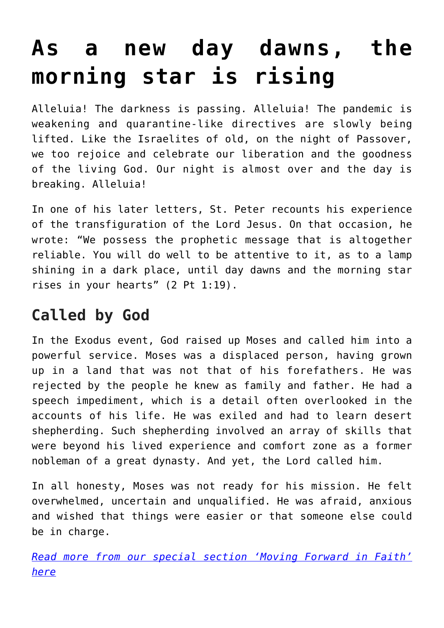# **[As a new day dawns, the](https://www.osvnews.com/amp/2020/05/29/as-a-new-day-dawns-the-morning-star-is-rising/) [morning star is rising](https://www.osvnews.com/amp/2020/05/29/as-a-new-day-dawns-the-morning-star-is-rising/)**

Alleluia! The darkness is passing. Alleluia! The pandemic is weakening and quarantine-like directives are slowly being lifted. Like the Israelites of old, on the night of Passover, we too rejoice and celebrate our liberation and the goodness of the living God. Our night is almost over and the day is breaking. Alleluia!

In one of his later letters, St. Peter recounts his experience of the transfiguration of the Lord Jesus. On that occasion, he wrote: "We possess the prophetic message that is altogether reliable. You will do well to be attentive to it, as to a lamp shining in a dark place, until day dawns and the morning star rises in your hearts" (2 Pt 1:19).

## **Called by God**

In the Exodus event, God raised up Moses and called him into a powerful service. Moses was a displaced person, having grown up in a land that was not that of his forefathers. He was rejected by the people he knew as family and father. He had a speech impediment, which is a detail often overlooked in the accounts of his life. He was exiled and had to learn desert shepherding. Such shepherding involved an array of skills that were beyond his lived experience and comfort zone as a former nobleman of a great dynasty. And yet, the Lord called him.

In all honesty, Moses was not ready for his mission. He felt overwhelmed, uncertain and unqualified. He was afraid, anxious and wished that things were easier or that someone else could be in charge.

*[Read more from our special section 'Moving Forward in Faith'](https://www.osvnews.com/tag/reopening-special-section/) [here](https://www.osvnews.com/tag/reopening-special-section/)*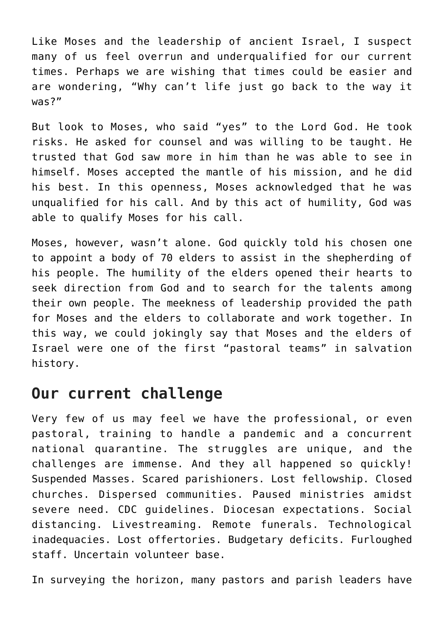Like Moses and the leadership of ancient Israel, I suspect many of us feel overrun and underqualified for our current times. Perhaps we are wishing that times could be easier and are wondering, "Why can't life just go back to the way it was?"

But look to Moses, who said "yes" to the Lord God. He took risks. He asked for counsel and was willing to be taught. He trusted that God saw more in him than he was able to see in himself. Moses accepted the mantle of his mission, and he did his best. In this openness, Moses acknowledged that he was unqualified for his call. And by this act of humility, God was able to qualify Moses for his call.

Moses, however, wasn't alone. God quickly told his chosen one to appoint a body of 70 elders to assist in the shepherding of his people. The humility of the elders opened their hearts to seek direction from God and to search for the talents among their own people. The meekness of leadership provided the path for Moses and the elders to collaborate and work together. In this way, we could jokingly say that Moses and the elders of Israel were one of the first "pastoral teams" in salvation history.

### **Our current challenge**

Very few of us may feel we have the professional, or even pastoral, training to handle a pandemic and a concurrent national quarantine. The struggles are unique, and the challenges are immense. And they all happened so quickly! Suspended Masses. Scared parishioners. Lost fellowship. Closed churches. Dispersed communities. Paused ministries amidst severe need. CDC guidelines. Diocesan expectations. Social distancing. Livestreaming. Remote funerals. Technological inadequacies. Lost offertories. Budgetary deficits. Furloughed staff. Uncertain volunteer base.

In surveying the horizon, many pastors and parish leaders have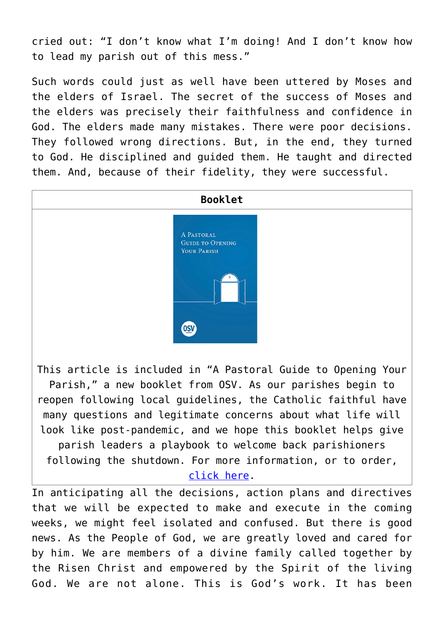cried out: "I don't know what I'm doing! And I don't know how to lead my parish out of this mess."

Such words could just as well have been uttered by Moses and the elders of Israel. The secret of the success of Moses and the elders was precisely their faithfulness and confidence in God. The elders made many mistakes. There were poor decisions. They followed wrong directions. But, in the end, they turned to God. He disciplined and guided them. He taught and directed them. And, because of their fidelity, they were successful.



This article is included in "A Pastoral Guide to Opening Your Parish," a new booklet from OSV. As our parishes begin to reopen following local guidelines, the Catholic faithful have many questions and legitimate concerns about what life will look like post-pandemic, and we hope this booklet helps give parish leaders a playbook to welcome back parishioners following the shutdown. For more information, or to order, [click here](https://www.osvcatholicbookstore.com/product/a-pastoral-guide-to-opening-your-parish).

In anticipating all the decisions, action plans and directives that we will be expected to make and execute in the coming weeks, we might feel isolated and confused. But there is good news. As the People of God, we are greatly loved and cared for by him. We are members of a divine family called together by the Risen Christ and empowered by the Spirit of the living God. We are not alone. This is God's work. It has been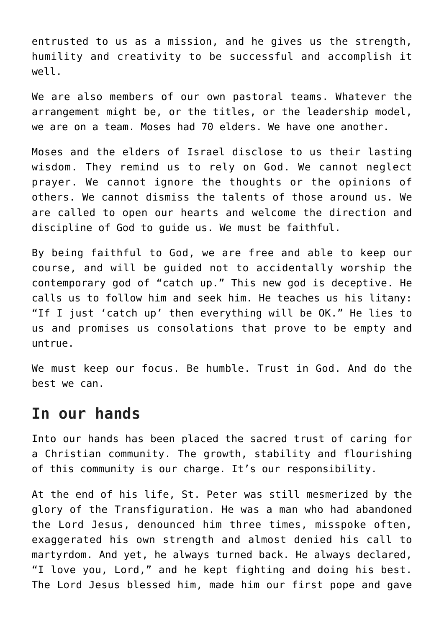entrusted to us as a mission, and he gives us the strength, humility and creativity to be successful and accomplish it well.

We are also members of our own pastoral teams. Whatever the arrangement might be, or the titles, or the leadership model, we are on a team. Moses had 70 elders. We have one another.

Moses and the elders of Israel disclose to us their lasting wisdom. They remind us to rely on God. We cannot neglect prayer. We cannot ignore the thoughts or the opinions of others. We cannot dismiss the talents of those around us. We are called to open our hearts and welcome the direction and discipline of God to guide us. We must be faithful.

By being faithful to God, we are free and able to keep our course, and will be guided not to accidentally worship the contemporary god of "catch up." This new god is deceptive. He calls us to follow him and seek him. He teaches us his litany: "If I just 'catch up' then everything will be OK." He lies to us and promises us consolations that prove to be empty and untrue.

We must keep our focus. Be humble. Trust in God. And do the best we can.

#### **In our hands**

Into our hands has been placed the sacred trust of caring for a Christian community. The growth, stability and flourishing of this community is our charge. It's our responsibility.

At the end of his life, St. Peter was still mesmerized by the glory of the Transfiguration. He was a man who had abandoned the Lord Jesus, denounced him three times, misspoke often, exaggerated his own strength and almost denied his call to martyrdom. And yet, he always turned back. He always declared, "I love you, Lord," and he kept fighting and doing his best. The Lord Jesus blessed him, made him our first pope and gave